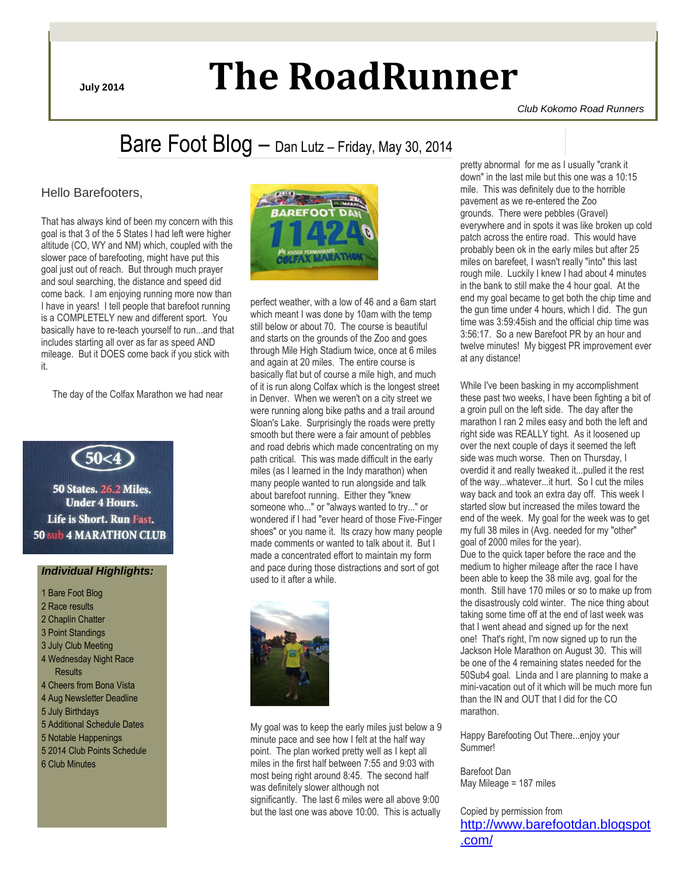# **July 2014 The RoadRunner**

*Club Kokomo Road Runners*

## Bare Foot Blog – Dan Lutz – Friday, May 30, 2014

### Hello Barefooters,

That has always kind of been my concern with this goal is that 3 of the 5 States I had left were higher altitude (CO, WY and NM) which, coupled with the slower pace of barefooting, might have put this goal just out of reach. But through much prayer and soul searching, the distance and speed did come back. I am enjoying running more now than I have in years! I tell people that barefoot running is a COMPLETELY new and different sport. You basically have to re-teach yourself to run...and that includes starting all over as far as speed AND mileage. But it DOES come back if you stick with it.

The day of the Colfax Marathon we had near



**50 States. 26.2 Miles. Under 4 Hours.** Life is Short. Run Fast. **50 sub 4 MARATHON CLUB** 

### *Individual Highlights:*

1 Bare Foot Blog 2 Race results 2 Chaplin Chatter 3 Point Standings 3 July Club Meeting 4 Wednesday Night Race **Results** 4 Cheers from Bona Vista 4 Aug Newsletter Deadline 5 July Birthdays 5 Additional Schedule Dates 5 Notable Happenings 5 2014 Club Points Schedule 6 Club Minutes



perfect weather, with a low of 46 and a 6am start which meant I was done by 10am with the temp still below or about 70. The course is beautiful and starts on the grounds of the Zoo and goes through Mile High Stadium twice, once at 6 miles and again at 20 miles. The entire course is basically flat but of course a mile high, and much of it is run along Colfax which is the longest street in Denver. When we weren't on a city street we were running along bike paths and a trail around Sloan's Lake. Surprisingly the roads were pretty smooth but there were a fair amount of pebbles and road debris which made concentrating on my path critical. This was made difficult in the early miles (as I learned in the Indy marathon) when many people wanted to run alongside and talk about barefoot running. Either they "knew someone who..." or "always wanted to try..." or wondered if I had "ever heard of those Five-Finger shoes" or you name it. Its crazy how many people made comments or wanted to talk about it. But I made a concentrated effort to maintain my form and pace during those distractions and sort of got used to it after a while.



My goal was to keep the early miles just below a 9 minute pace and see how I felt at the half way point. The plan worked pretty well as I kept all miles in the first half between 7:55 and 9:03 with most being right around 8:45. The second half was definitely slower although not significantly. The last 6 miles were all above 9:00 but the last one was above 10:00. This is actually

pretty abnormal for me as I usually "crank it down" in the last mile but this one was a 10:15 mile. This was definitely due to the horrible pavement as we re-entered the Zoo grounds. There were pebbles (Gravel) everywhere and in spots it was like broken up cold patch across the entire road. This would have probably been ok in the early miles but after 25 miles on barefeet, I wasn't really "into" this last rough mile. Luckily I knew I had about 4 minutes in the bank to still make the 4 hour goal. At the end my goal became to get both the chip time and the gun time under 4 hours, which I did. The gun time was 3:59:45ish and the official chip time was 3:56:17. So a new Barefoot PR by an hour and twelve minutes! My biggest PR improvement ever at any distance!

While I've been basking in my accomplishment these past two weeks, I have been fighting a bit of a groin pull on the left side. The day after the marathon I ran 2 miles easy and both the left and right side was REALLY tight. As it loosened up over the next couple of days it seemed the left side was much worse. Then on Thursday, I overdid it and really tweaked it...pulled it the rest of the way...whatever...it hurt. So I cut the miles way back and took an extra day off. This week I started slow but increased the miles toward the end of the week. My goal for the week was to get my full 38 miles in (Avg. needed for my "other" goal of 2000 miles for the year). Due to the quick taper before the race and the medium to higher mileage after the race I have been able to keep the 38 mile avg. goal for the month. Still have 170 miles or so to make up from the disastrously cold winter. The nice thing about taking some time off at the end of last week was that I went ahead and signed up for the next one! That's right, I'm now signed up to run the Jackson Hole Marathon on August 30. This will be one of the 4 remaining states needed for the 50Sub4 goal. Linda and I are planning to make a mini-vacation out of it which will be much more fun than the IN and OUT that I did for the CO marathon.

Happy Barefooting Out There...enjoy your Summer!

Barefoot Dan May Mileage = 187 miles

Copied by permission from [http://www.barefootdan.blogspot](http://www.barefootdan.blogspot.com/) [.com/](http://www.barefootdan.blogspot.com/)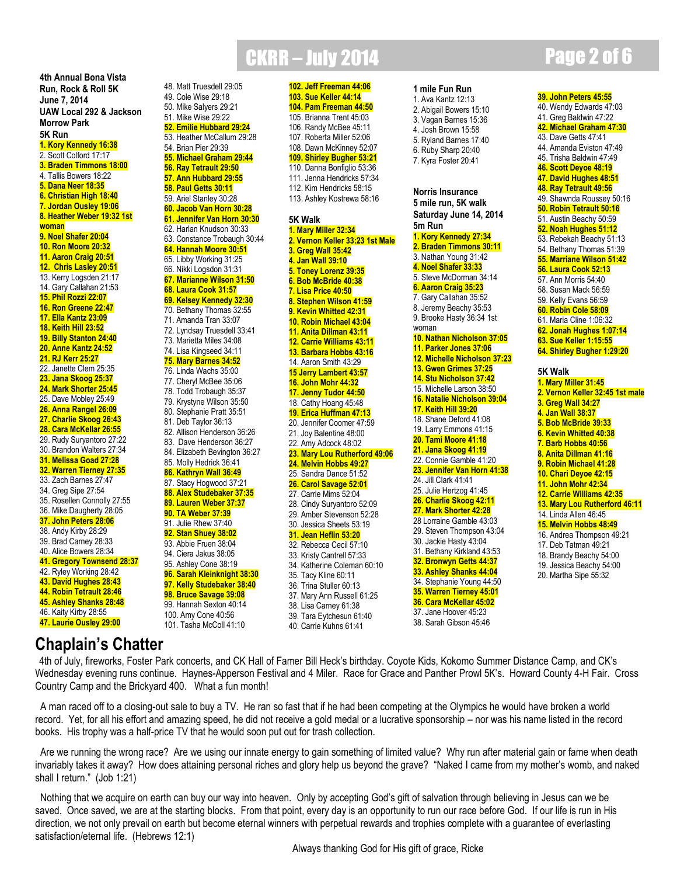**4th Annual Bona Vista Run, Rock & Roll 5K June 7, 2014 UAW Local 292 & Jackson Morrow Park 5K Run 1. Kory Kennedy 16:38** 2. Scott Colford 17:17 **3. Braden Timmons 18:00** 4. Tallis Bowers 18:22 **5. Dana Neer 18:35 6. Christian High 18:40 7. Jordan Ousley 19:06 8. Heather Weber 19:32 1st woman 9. Noel Shafer 20:04 10. Ron Moore 20:32 11. Aaron Craig 20:51 12. Chris Lasley 20:51** 13. Kerry Logsden 21:17 14. Gary Callahan 21:53 **15. Phil Rozzi 22:07 16. Ron Greene 22:47 17. Ella Kantz 23:09 18. Keith Hill 23:52 19. Billy Stanton 24:40 20. Anne Kantz 24:52 21. RJ Kerr 25:27** 22. Janette Clem 25:35 **23. Jana Skoog 25:37 24. Mark Shorter 25:45** 25. Dave Mobley 25:49 **26. Anna Rangel 26:09 27. Charlie Skoog 26:43 28. Cara McKellar 26:55** 29. Rudy Suryantoro 27:22 30. Brandon Walters 27:34 **31. Melissa Goad 27:28 32. Warren Tierney 27:35** 33. Zach Barnes 27:47 34. Greg Sipe 27:54 35. Rosellen Connolly 27:55 36. Mike Daugherty 28:05 **37. John Peters 28:06** 38. Andy Kirby 28:29 39. Brad Carney 28:33 40. Alice Bowers 28:34 **41. Gregory Townsend 28:37** 42. Ryley Working 28:42 **43. David Hughes 28:43 44. Robin Tetrault 28:46 45. Ashley Shanks 28:48** 46. Kaity Kirby 28:55 **47. Laurie Ousley 29:00**

### CKRR – July 2014 **Page 2 of 6** 48. Matt Truesdell 29:05 **102. Jeff Freeman 44:06**

49. Cole Wise 29:18 50. Mike Salyers 29:21 51. Mike Wise 29:22 **52. Emilie Hubbard 29:24** 53. Heather McCallum 29:28 54. Brian Pier 29:39 **55. Michael Graham 29:44 56. Ray Tetrault 29:50 57. Ann Hubbard 29:55 58. Paul Getts 30:11** 59. Ariel Stanley 30:28 **60. Jacob Van Horn 30:28 61. Jennifer Van Horn 30:30** 62. Harlan Knudson 30:33 63. Constance Trobaugh 30:44 **64. Hannah Moore 30:51** 65. Libby Working 31:25 66. Nikki Logsdon 31:31 **67. Marianne Wilson 31:50 68. Laura Cook 31:57 69. Kelsey Kennedy 32:30** 70. Bethany Thomas 32:55 71. Amanda Tran 33:07 72. Lyndsay Truesdell 33:41 73. Marietta Miles 34:08 74. Lisa Kingseed 34:11 **75. Mary Barnes 34:52** 76. Linda Wachs 35:00 77. Cheryl McBee 35:06 78. Todd Trobaugh 35:37 79. Krystyne Wilson 35:50 80. Stephanie Pratt 35:51 81. Deb Taylor 36:13 82. Allison Henderson 36:26 83. Dave Henderson 36:27 84. Elizabeth Bevington 36:27 85. Molly Hedrick 36:41 **86. Kathryn Wall 36:49** 87. Stacy Hogwood 37:21 **88. Alex Studebaker 37:35 89. Lauren Weber 37:37 90. TA Weber 37:39** 91. Julie Rhew 37:40 **92. Stan Shuey 38:02** 93. Abbie Fruen 38:04 94. Ciera Jakus 38:05 95. Ashley Cone 38:19 **96. Sarah Kleinknight 38:30 97. Kelly Studebaker 38:40 98. Bruce Savage 39:08** 99. Hannah Sexton 40:14 100. Amy Cone 40:56 101. Tasha McColl 41:10

**103. Sue Keller 44:14 104. Pam Freeman 44:50** 105. Brianna Trent 45:03 106. Randy McBee 45:11 107. Roberta Miller 52:06 108. Dawn McKinney 52:07 **109. Shirley Bugher 53:21** 110. Danna Bonfiglio 53:36 111. Jenna Hendricks 57:34 112. Kim Hendricks 58:15 113. Ashley Kostrewa 58:16 **5K Walk 1. Mary Miller 32:34 2. Vernon Keller 33:23 1st Male 3. Greg Wall 35:42 4. Jan Wall 39:10 5. Toney Lorenz 39:35 6. Bob McBride 40:38 7. Lisa Price 40:50 8. Stephen Wilson 41:59 9. Kevin Whitted 42:31 10. Robin Michael 43:04 11. Anita Dillman 43:11 12. Carrie Williams 43:11 13. Barbara Hobbs 43:16** 14. Aaron Smith 43:29 **15 Jerry Lambert 43:57 16. John Mohr 44:32 17. Jenny Tudor 44:50** 18. Cathy Hoang 45:48 **19. Erica Huffman 47:13** 20. Jennifer Coomer 47:59 21. Joy Balentine 48:00 22. Amy Adcock 48:02 **23. Mary Lou Rutherford 49:06 24. Melvin Hobbs 49:27** 25. Sandra Dance 51:52 **26. Carol Savage 52:01** 27. Carrie Mims 52:04 28. Cindy Suryantoro 52:09 29. Amber Stevenson 52:28 30. Jessica Sheets 53:19 **31. Jean Heflin 53:20** 32. Rebecca Cecil 57:10 33. Kristy Cantrell 57:33 34. Katherine Coleman 60:10 35. Tacy Kline 60:11 36. Trina Stuller 60:13 37. Mary Ann Russell 61:25 38. Lisa Carney 61:38 39. Tara Eytchesun 61:40 40. Carrie Kuhns 61:41

### **1 mile Fun Run**

1. Ava Kantz 12:13 2. Abigail Bowers 15:10 3. Vagan Barnes 15:36 4. Josh Brown 15:58 5. Ryland Barnes 17:40 6. Ruby Sharp 20:40 7. Kyra Foster 20:41

### **Norris Insurance 5 mile run, 5K walk Saturday June 14, 2014 5m Run 1. Kory Kennedy 27:34 2. Braden Timmons 30:11** 3. Nathan Young 31:42 **4. Noel Shafer 33:33** 5. Steve McDorman 34:14 **6. Aaron Craig 35:23** 7. Gary Callahan 35:52 8. Jeremy Beachy 35:53 9. Brooke Hasty 36:34 1st woman **10. Nathan Nicholson 37:05 11. Parker Jones 37:06 12. Michelle Nicholson 37:23 13. Gwen Grimes 37:25 14. Stu Nicholson 37:42** 15. Michelle Larson 38:50 **16. Natalie Nicholson 39:04 17. Keith Hill 39:20** 18. Shane Deford 41:08 19. Larry Emmons 41:15 **20. Tami Moore 41:18 21. Jana Skoog 41:19**

### 22. Connie Gamble 41:20 **23. Jennifer Van Horn 41:38** 24. Jill Clark 41:41 25. Julie Hertzog 41:45 **26. Charlie Skoog 42:11 27. Mark Shorter 42:28** 28 Lorraine Gamble 43:03 29. Steven Thompson 43:04 30. Jackie Hasty 43:04 31. Bethany Kirkland 43:53 **32. Bronwyn Getts 44:37 33. Ashley Shanks 44:04** 34. Stephanie Young 44:50 **35. Warren Tierney 45:01 36. Cara McKellar 45:02**

37. Jane Hoover 45:23 38. Sarah Gibson 45:46

### **39. John Peters 45:55**

40. Wendy Edwards 47:03 41. Greg Baldwin 47:22 **42. Michael Graham 47:30** 43. Dave Getts 47:41 44. Amanda Eviston 47:49 45. Trisha Baldwin 47:49 **46. Scott Deyoe 48:19 47. David Hughes 48:51 48. Ray Tetrault 49:56** 49. Shawnda Roussey 50:16 **50. Robin Tetrault 50:16** 51. Austin Beachy 50:59 **52. Noah Hughes 51:12** 53. Rebekah Beachy 51:13 54. Bethany Thomas 51:39 **55. Marriane Wilson 51:42 56. Laura Cook 52:13** 57. Ann Morris 54:40 58. Susan Mack 56:59 59. Kelly Evans 56:59 **60. Robin Cole 58:09** 61. Maria Cline 1:06:32 **62. Jonah Hughes 1:07:14 63. Sue Keller 1:15:55 64. Shirley Bugher 1:29:20 5K Walk 1. Mary Miller 31:45 2. Vernon Keller 32:45 1st male 3. Greg Wall 34:27 4. Jan Wall 38:37**

**5. Bob McBride 39:33 6. Kevin Whitted 40:38 7. Barb Hobbs 40:56 8. Anita Dillman 41:16 9. Robin Michael 41:28 10. Chari Deyoe 42:15 11. John Mohr 42:34 12. Carrie Williams 42:35 13. Mary Lou Rutherford 46:11** 14. Linda Allen 46:45 **15. Melvin Hobbs 48:49** 16. Andrea Thompson 49:21 17. Deb Tatman 49:21 18. Brandy Beachy 54:00 19. Jessica Beachy 54:00 20. Martha Sipe 55:32

### **Chaplain's Chatter**

4th of July, fireworks, Foster Park concerts, and CK Hall of Famer Bill Heck's birthday. Coyote Kids, Kokomo Summer Distance Camp, and CK's Wednesday evening runs continue. Haynes-Apperson Festival and 4 Miler. Race for Grace and Panther Prowl 5K's. Howard County 4-H Fair. Cross Country Camp and the Brickyard 400. What a fun month!

A man raced off to a closing-out sale to buy a TV. He ran so fast that if he had been competing at the Olympics he would have broken a world record. Yet, for all his effort and amazing speed, he did not receive a gold medal or a lucrative sponsorship – nor was his name listed in the record books. His trophy was a half-price TV that he would soon put out for trash collection.

Are we running the wrong race? Are we using our innate energy to gain something of limited value? Why run after material gain or fame when death invariably takes it away? How does attaining personal riches and glory help us beyond the grave? "Naked I came from my mother's womb, and naked shall I return." (Job 1:21)

Nothing that we acquire on earth can buy our way into heaven. Only by accepting God's gift of salvation through believing in Jesus can we be saved. Once saved, we are at the starting blocks. From that point, every day is an opportunity to run our race before God. If our life is run in His direction, we not only prevail on earth but become eternal winners with perpetual rewards and trophies complete with a guarantee of everlasting satisfaction/eternal life. (Hebrews 12:1)

Always thanking God for His gift of grace, Ricke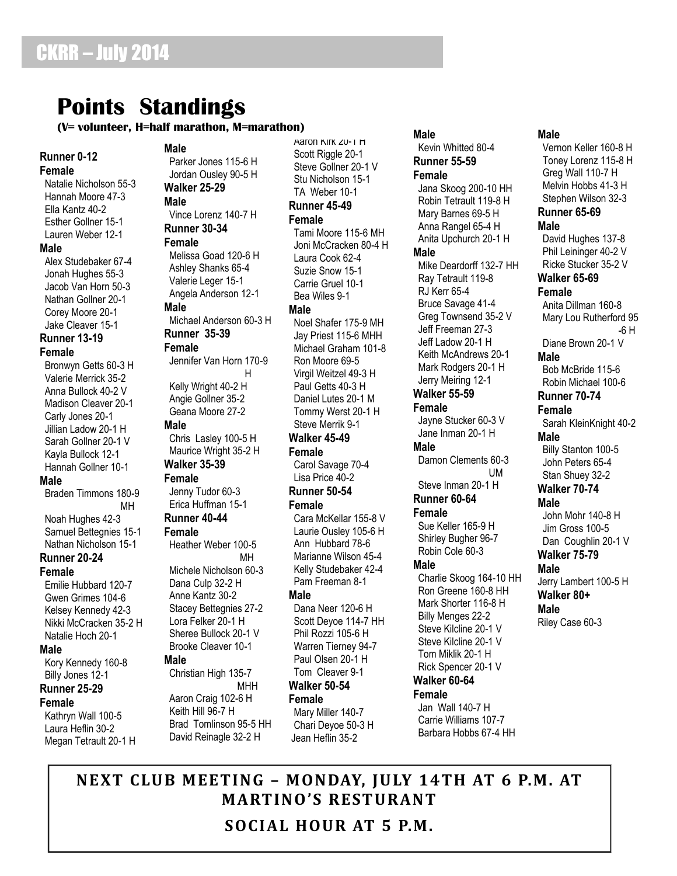## **Points Standings**

### **(V= volunteer, H=half marathon, M=marathon)**

### **Runner 0-12 Female**

 Natalie Nicholson 55-3 Hannah Moore 47-3 Ella Kantz 40-2 Esther Gollner 15-1 Lauren Weber 12-1 **Male** Alex Studebaker 67-4 Jonah Hughes 55-3 Jacob Van Horn 50-3

 Nathan Gollner 20-1 Corey Moore 20-1 Jake Cleaver 15-1

### **Runner 13-19 Female**

 Bronwyn Getts 60-3 H Valerie Merrick 35-2 Anna Bullock 40-2 V Madison Cleaver 20-1 Carly Jones 20-1 Jillian Ladow 20-1 H Sarah Gollner 20-1 V Kayla Bullock 12-1 Hannah Gollner 10-1 **Male**

### Braden Timmons 180-9 MH

 Noah Hughes 42-3 Samuel Bettegnies 15-1 Nathan Nicholson 15-1

### **Runner 20-24**

### **Female**

 Emilie Hubbard 120-7 Gwen Grimes 104-6 Kelsey Kennedy 42-3 Nikki McCracken 35-2 H Natalie Hoch 20-1

### **Male**

 Kory Kennedy 160-8 Billy Jones 12-1

### **Runner 25-29**

**Female** Kathryn Wall 100-5 Laura Heflin 30-2

Megan Tetrault 20-1 H

### **Male**

 Parker Jones 115-6 H Jordan Ousley 90-5 H **Walker 25-29**

### **Male**

 Vince Lorenz 140-7 H **Runner 30-34 Female**

 Melissa Goad 120-6 H Ashley Shanks 65-4 Valerie Leger 15-1 Angela Anderson 12-1

### **Male**

 Michael Anderson 60-3 H **Runner 35-39 Female**

 Jennifer Van Horn 170-9 Harry Committee H Kelly Wright 40-2 H Angie Gollner 35-2

Geana Moore 27-2

### **Male**

 Chris Lasley 100-5 H Maurice Wright 35-2 H

### **Walker 35-39**

**Female** Jenny Tudor 60-3 Erica Huffman 15-1 **Runner 40-44**

### **Female**

 Heather Weber 100-5 MH Michele Nicholson 60-3

 Dana Culp 32-2 H Anne Kantz 30-2 Stacey Bettegnies 27-2 Lora Felker 20-1 H Sheree Bullock 20-1 V Brooke Cleaver 10-1

### **Male**

 Christian High 135-7 **MHH** 

 Aaron Craig 102-6 H Keith Hill 96-7 H Brad Tomlinson 95-5 HH David Reinagle 32-2 H

 Aaron Kirk 20-1 H Scott Riggle 20-1 Steve Gollner 20-1 V Stu Nicholson 15-1 TA Weber 10-1

### **Runner 45-49**

**Female** Tami Moore 115-6 MH Joni McCracken 80-4 H Laura Cook 62-4 Suzie Snow 15-1 Carrie Gruel 10-1 Bea Wiles 9-1

### **Male**

 Noel Shafer 175-9 MH Jay Priest 115-6 MHH Michael Graham 101-8 Ron Moore 69-5 Virgil Weitzel 49-3 H Paul Getts 40-3 H Daniel Lutes 20-1 M Tommy Werst 20-1 H Steve Merrik 9-1 **Walker 45-49 Female** Carol Savage 70-4

Lisa Price 40-2

**Runner 50-54**

### **Female**

 Cara McKellar 155-8 V Laurie Ousley 105-6 H Ann Hubbard 78-6 Marianne Wilson 45-4 Kelly Studebaker 42-4 Pam Freeman 8-1

### **Male**

 Dana Neer 120-6 H Scott Deyoe 114-7 HH Phil Rozzi 105-6 H Warren Tierney 94-7 Paul Olsen 20-1 H Tom Cleaver 9-1 **Walker 50-54**

### **Female**

 Mary Miller 140-7 Chari Deyoe 50-3 H Jean Heflin 35-2

 Jana Skoog 200-10 HH Robin Tetrault 119-8 H Mary Barnes 69-5 H Anna Rangel 65-4 H Anita Upchurch 20-1 H **Male** Mike Deardorff 132-7 HH Ray Tetrault 119-8 RJ Kerr 65-4 Bruce Savage 41-4 Greg Townsend 35-2 V Jeff Freeman 27-3 Jeff Ladow 20-1 H Keith McAndrews 20-1 Mark Rodgers 20-1 H Jerry Meiring 12-1 **Walker 55-59 Female** Jayne Stucker 60-3 V Jane Inman 20-1 H **Male** Damon Clements 60-3 UM

**Male**

 Kevin Whitted 80-4 **Runner 55-59 Female**

### Steve Inman 20-1 H **Runner 60-64**

**Female**

 Sue Keller 165-9 H Shirley Bugher 96-7 Robin Cole 60-3

### **Male**

 Charlie Skoog 164-10 HH Ron Greene 160-8 HH Mark Shorter 116-8 H Billy Menges 22-2 Steve Kilcline 20-1 V Steve Kilcline 20-1 V Tom Miklik 20-1 H Rick Spencer 20-1 V **Walker 60-64**

### **Female**

 Jan Wall 140-7 H Carrie Williams 107-7 Barbara Hobbs 67-4 HH

### **Male**

 Vernon Keller 160-8 H Toney Lorenz 115-8 H Greg Wall 110-7 H Melvin Hobbs 41-3 H Stephen Wilson 32-3 **Runner 65-69 Male** David Hughes 137-8 Phil Leininger 40-2 V Ricke Stucker 35-2 V **Walker 65-69 Female** Anita Dillman 160-8 Mary Lou Rutherford 95 -6 H Diane Brown 20-1 V **Male** Bob McBride 115-6 Robin Michael 100-6 **Runner 70-74 Female** Sarah KleinKnight 40-2 **Male** Billy Stanton 100-5 John Peters 65-4 Stan Shuey 32-2 **Walker 70-74 Male** John Mohr 140-8 H Jim Gross 100-5 Dan Coughlin 20-1 V **Walker 75-79 Male** Jerry Lambert 100-5 H **Walker 80+ Male** Riley Case 60-3

**NEXT CLUB MEETING – MONDAY, JULY 14TH AT 6 P.M. AT MARTINO'S RESTURANT SOCIAL HOUR AT 5 P.M.**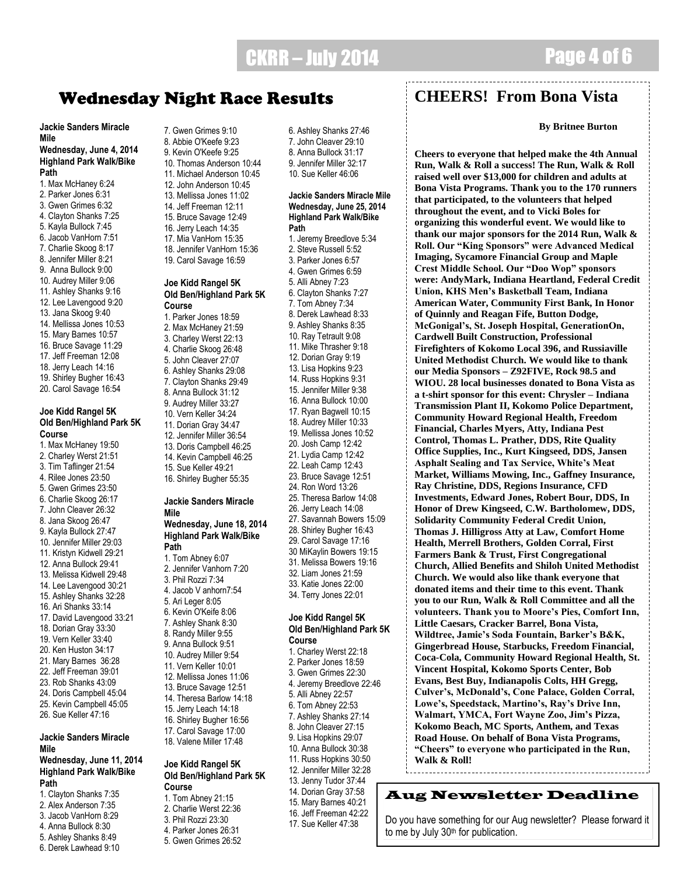## CKRR – July 2014 Page 4 of 6

**Jackie Sanders Miracle Mile**

### **Wednesday, June 4, 2014 Highland Park Walk/Bike Path**

- 1. Max McHaney 6:24
- 2. Parker Jones 6:31
- 3. Gwen Grimes 6:32 4. Clayton Shanks 7:25
- 5. Kayla Bullock 7:45
- 6. Jacob VanHorn 7:51
- 7. Charlie Skoog 8:17
- 8. Jennifer Miller 8:21
- 9. Anna Bullock 9:00
- 10. Audrey Miller 9:06
- 11. Ashley Shanks 9:16
- 12. Lee Lavengood 9:20
- 13. Jana Skoog 9:40
- 14. Mellissa Jones 10:53
- 15. Mary Barnes 10:57
- 16. Bruce Savage 11:29
- 17. Jeff Freeman 12:08
- 18. Jerry Leach 14:16
- 19. Shirley Bugher 16:43
- 20. Carol Savage 16:54

### **Joe Kidd Rangel 5K Old Ben/Highland Park 5K Course**

- 1. Max McHaney 19:50 2. Charley Werst 21:51 3. Tim Taflinger 21:54 4. Rilee Jones 23:50 5. Gwen Grimes 23:50 6. Charlie Skoog 26:17 7. John Cleaver 26:32 8. Jana Skoog 26:47 9. Kayla Bullock 27:47 10. Jennifer Miller 29:03 11. Kristyn Kidwell 29:21 12. Anna Bullock 29:41 13. Melissa Kidwell 29:48 14. Lee Lavengood 30:21 15. Ashley Shanks 32:28 16. Ari Shanks 33:14 17. David Lavengood 33:21 18. Dorian Gray 33:30
- 19. Vern Keller 33:40
- 20. Ken Huston 34:17
- 21. Mary Barnes 36:28
- 22. Jeff Freeman 39:01
- 23. Rob Shanks 43:09 24. Doris Campbell 45:04
- 25. Kevin Campbell 45:05
- 26. Sue Keller 47:16

### **Jackie Sanders Miracle Mile**

### **Wednesday, June 11, 2014 Highland Park Walk/Bike Path**

- 1. Clayton Shanks 7:35 2. Alex Anderson 7:35
- 3. Jacob VanHorn 8:29
- 
- 4. Anna Bullock 8:30
- 5. Ashley Shanks 8:49 6. Derek Lawhead 9:10

7. Gwen Grimes 9:10 8. Abbie O'Keefe 9:23 9. Kevin O'Keefe 9:25 10. Thomas Anderson 10:44 11. Michael Anderson 10:45 12. John Anderson 10:45 13. Mellissa Jones 11:02 14. Jeff Freeman 12:11 15. Bruce Savage 12:49 16. Jerry Leach 14:35 17. Mia VanHorn 15:35 18. Jennifer VanHorn 15:36 19. Carol Savage 16:59

### **Joe Kidd Rangel 5K Old Ben/Highland Park 5K Course**

1. Parker Jones 18:59 2. Max McHaney 21:59 3. Charley Werst 22:13 4. Charlie Skoog 26:48 5. John Cleaver 27:07 6. Ashley Shanks 29:08 7. Clayton Shanks 29:49 8. Anna Bullock 31:12 9. Audrey Miller 33:27 10. Vern Keller 34:24 11. Dorian Gray 34:47 12. Jennifer Miller 36:54 13. Doris Campbell 46:25 14. Kevin Campbell 46:25 15. Sue Keller 49:21 16. Shirley Bugher 55:35

### **Jackie Sanders Miracle Mile**

**Wednesday, June 18, 2014 Highland Park Walk/Bike Path**

- 1. Tom Abney 6:07 2. Jennifer Vanhorn 7:20 3. Phil Rozzi 7:34 4. Jacob V anhorn7:54 5. Ari Leger 8:05 6. Kevin O'Keife 8:06 7. Ashley Shank 8:30 8. Randy Miller 9:55 9. Anna Bullock 9:51 10. Audrey Miller 9:54 11. Vern Keller 10:01 12. Mellissa Jones 11:06
- 13. Bruce Savage 12:51
- 14. Theresa Barlow 14:18 15. Jerry Leach 14:18
- 16. Shirley Bugher 16:56
- 17. Carol Savage 17:00
- 18. Valene Miller 17:48 **Joe Kidd Rangel 5K**

### **Old Ben/Highland Park 5K Course**

- 1. Tom Abney 21:15
- 2. Charlie Werst 22:36
- 3. Phil Rozzi 23:30
- 4. Parker Jones 26:31 5. Gwen Grimes 26:52

6. Ashley Shanks 27:46 7. John Cleaver 29:10 8. Anna Bullock 31:17 9. Jennifer Miller 32:17 10. Sue Keller 46:06

### **Jackie Sanders Miracle Mile Wednesday, June 25, 2014 Highland Park Walk/Bike Path**

1. Jeremy Breedlove 5:34 2. Steve Russell 5:52 3. Parker Jones 6:57 4. Gwen Grimes 6:59 5. Alli Abney 7:23 6. Clayton Shanks 7:27 7. Tom Abney 7:34 8. Derek Lawhead 8:33 9. Ashley Shanks 8:35 10. Ray Tetrault 9:08 11. Mike Thrasher 9:18 12. Dorian Gray 9:19 13. Lisa Hopkins 9:23 14. Russ Hopkins 9:31 15. Jennifer Miller 9:38 16. Anna Bullock 10:00 17. Ryan Bagwell 10:15 18. Audrey Miller 10:33 19. Mellissa Jones 10:52 20. Josh Camp 12:42 21. Lydia Camp 12:42 22. Leah Camp 12:43 23. Bruce Savage 12:51 24. Ron Word 13:26 25. Theresa Barlow 14:08 26. Jerry Leach 14:08 27. Savannah Bowers 15:09 28. Shirley Bugher 16:43 29. Carol Savage 17:16 30 MiKaylin Bowers 19:15 31. Melissa Bowers 19:16 32. Liam Jones 21:59 33. Katie Jones 22:00 **Wednesday Night Race Results**<br>
17. Sue Christian 2. Sue Christian 2. Sue Christian 2. Sue Christian 2. Sue Christian 2. Sue Christian 2. Sue Christian 2. Sue Christian 2. Sue Christian 2. Sue Christian 2. Sue Christian 2

### **Joe Kidd Rangel 5K Old Ben/Highland Park 5K Course**

34. Terry Jones 22:01

1. Charley Werst 22:18 2. Parker Jones 18:59 3. Gwen Grimes 22:30 4. Jeremy Breedlove 22:46 5. Alli Abney 22:57 6. Tom Abney 22:53 7. Ashley Shanks 27:14 8. John Cleaver 27:15 9. Lisa Hopkins 29:07 10. Anna Bullock 30:38 11. Russ Hopkins 30:50 12. Jennifer Miller 32:28 13. Jenny Tudor 37:44 14. Dorian Gray 37:58 15. Mary Barnes 40:21 16. Jeff Freeman 42:22

### **CHEERS! From Bona Vista**

----------------------------------

 **By Britnee Burton**

**Cheers to everyone that helped make the 4th Annual Run, Walk & Roll a success! The Run, Walk & Roll raised well over \$13,000 for children and adults at Bona Vista Programs. Thank you to the 170 runners that participated, to the volunteers that helped throughout the event, and to Vicki Boles for organizing this wonderful event. We would like to thank our major sponsors for the 2014 Run, Walk & Roll. Our "King Sponsors" were Advanced Medical Imaging, Sycamore Financial Group and Maple Crest Middle School. Our "Doo Wop" sponsors were: AndyMark, Indiana Heartland, Federal Credit Union, KHS Men's Basketball Team, Indiana American Water, Community First Bank, In Honor of Quinnly and Reagan Fife, Button Dodge, McGonigal's, St. Joseph Hospital, GenerationOn, Cardwell Built Construction, Professional Firefighters of Kokomo Local 396, and Russiaville United Methodist Church. We would like to thank our Media Sponsors – Z92FIVE, Rock 98.5 and WIOU. 28 local businesses donated to Bona Vista as a t-shirt sponsor for this event: Chrysler – Indiana Transmission Plant II, Kokomo Police Department, Community Howard Regional Health, Freedom Financial, Charles Myers, Atty, Indiana Pest Control, Thomas L. Prather, DDS, Rite Quality Office Supplies, Inc., Kurt Kingseed, DDS, Jansen Asphalt Sealing and Tax Service, White's Meat Market, Williams Mowing, Inc., Gaffney Insurance, Ray Christine, DDS, Regions Insurance, CFD Investments, Edward Jones, Robert Bour, DDS, In Honor of Drew Kingseed, C.W. Bartholomew, DDS, Solidarity Community Federal Credit Union, Thomas J. Hilligross Atty at Law, Comfort Home Health, Merrell Brothers, Golden Corral, First Farmers Bank & Trust, First Congregational Church, Allied Benefits and Shiloh United Methodist Church. We would also like thank everyone that donated items and their time to this event. Thank you to our Run, Walk & Roll Committee and all the volunteers. Thank you to Moore's Pies, Comfort Inn, Little Caesars, Cracker Barrel, Bona Vista, Wildtree, Jamie's Soda Fountain, Barker's B&K, Gingerbread House, Starbucks, Freedom Financial, Coca-Cola, Community Howard Regional Health, St. Vincent Hospital, Kokomo Sports Center, Bob Evans, Best Buy, Indianapolis Colts, HH Gregg, Culver's, McDonald's, Cone Palace, Golden Corral, Lowe's, Speedstack, Martino's, Ray's Drive Inn, Walmart, YMCA, Fort Wayne Zoo, Jim's Pizza, Kokomo Beach, MC Sports, Anthem, and Texas Road House. On behalf of Bona Vista Programs, "Cheers" to everyone who participated in the Run, Walk & Roll!** 

Aug Newsletter Deadline

Do you have something for our Aug newsletter? Please forward it to me by July 30<sup>th</sup> for publication.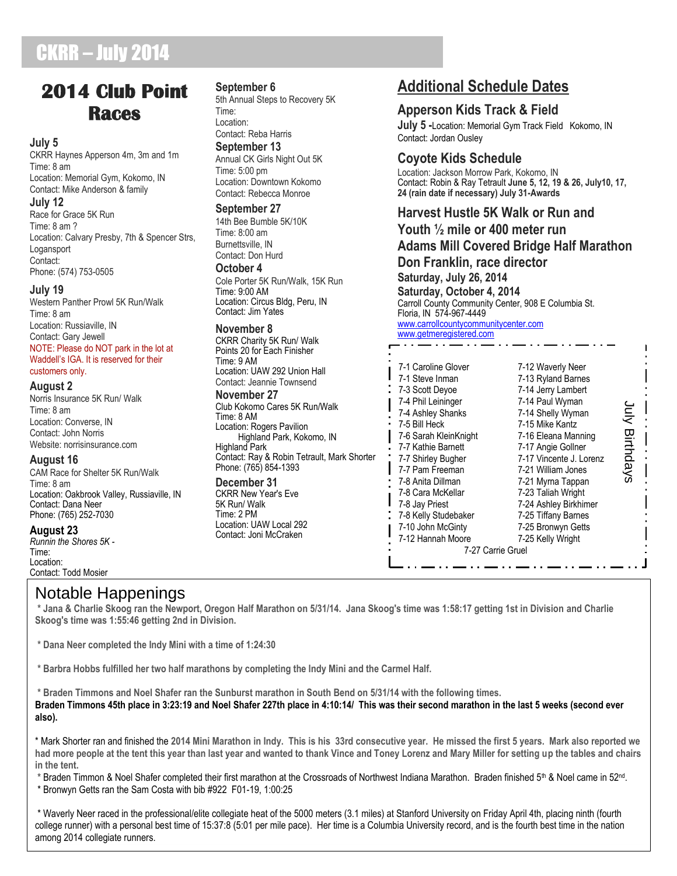## CKRR – July 2014

## **2014 Club Point Races**

### **July 5**

CKRR Haynes Apperson 4m, 3m and 1m Time: 8 am Location: Memorial Gym, Kokomo, IN Contact: Mike Anderson & family

### **July 12**

Race for Grace 5K Run Time: 8 am ? Location: Calvary Presby, 7th & Spencer Strs, Logansport Contact: Phone: (574) 753-0505

### **July 19**

Western Panther Prowl 5K Run/Walk Time: 8 am Location: Russiaville, IN Contact: Gary Jewell NOTE: Please do NOT park in the lot at Waddell's IGA. It is reserved for their customers only.

### **August 2**

Norris Insurance 5K Run/ Walk Time: 8 am Location: Converse, IN Contact: John Norris Website: norrisinsurance.com

### **August 16**

CAM Race for Shelter 5K Run/Walk Time: 8 am Location: Oakbrook Valley, Russiaville, IN Contact: Dana Neer Phone: (765) 252-7030

### **August 23**

*Runnin the Shores 5K -* Time: Location: Contact: Todd Mosier

### **September 6**

5th Annual Steps to Recovery 5K Time: Location: Contact: Reba Harris **September 13** Annual CK Girls Night Out 5K Time: 5:00 pm Location: Downtown Kokomo Contact: Rebecca Monroe

### **September 27**

14th Bee Bumble 5K/10K Time: 8:00 am Burnettsville, IN Contact: Don Hurd

### **October 4**

Cole Porter 5K Run/Walk, 15K Run Time: 9:00 AM Location: Circus Bldg, Peru, IN Contact: Jim Yates

### **November 8**

CKRR Charity 5K Run/ Walk Points 20 for Each Finisher Time: 9 AM Location: UAW 292 Union Hall Contact: Jeannie Townsend

### **November 27**

Club Kokomo Cares 5K Run/Walk Time: 8 AM Location: Rogers Pavilion Highland Park, Kokomo, IN Highland Park Contact: Ray & Robin Tetrault, Mark Shorter Phone: (765) 854-1393

### **December 31** CKRR New Year's Eve 5K Run/ Walk Time: 2 PM Location: UAW Local 292 Contact: Joni McCraken

## **Additional Schedule Dates**

### **Apperson Kids Track & Field**

**July 5 -**Location: Memorial Gym Track Field Kokomo, IN Contact: Jordan Ousley

### **Coyote Kids Schedule**

Location: Jackson Morrow Park, Kokomo, IN Contact: Robin & Ray Tetrault **June 5, 12, 19 & 26, July10, 17, 24 (rain date if necessary) July 31-Awards**

## **Harvest Hustle 5K Walk or Run and**

**Youth ½ mile or 400 meter run Adams Mill Covered Bridge Half Marathon Don Franklin, race director Saturday, July 26, 2014 Saturday, October 4, 2014** Carroll County Community Center, 908 E Columbia St. Floria, IN 574-967-4449 [www.carrollcountycommunitycenter.com](http://www.carrollcountycommunitycenter.com/) [www.getmeregistered.com](http://www.getmeregistered.com/) \_ . . <u>`\_\_</u> . . .

| 7-1 Caroline Glover<br>7-1 Steve Inman<br>7-3 Scott Devoe<br>7-4 Phil Leininger<br>7-4 Ashley Shanks<br>7-5 Bill Heck<br>7-6 Sarah KleinKnight<br>7-7 Kathie Barnett<br>7-7 Shirley Bugher<br>7-7 Pam Freeman<br>7-8 Anita Dillman<br>7-8 Cara McKellar<br>7-8 Jay Priest<br>7-8 Kelly Studebaker<br>7-10 John McGinty<br>7-12 Hannah Moore<br>7-27 Carrie Gruel | 7-12 Waverly Neer<br>7-13 Ryland Barnes<br>7-14 Jerry Lambert<br>7-14 Paul Wyman<br>7-14 Shelly Wyman<br>7-15 Mike Kantz<br>7-16 Eleana Manning<br>7-17 Angie Gollner<br>7-17 Vincente J. Lorenz<br>7-21 William Jones<br>7-21 Myrna Tappan<br>7-23 Taliah Wright<br>7-24 Ashley Birkhimer<br>7-25 Tiffany Barnes<br>7-25 Bronwyn Getts<br>7-25 Kelly Wright | ے<br>آ<br>Birthdays |
|------------------------------------------------------------------------------------------------------------------------------------------------------------------------------------------------------------------------------------------------------------------------------------------------------------------------------------------------------------------|--------------------------------------------------------------------------------------------------------------------------------------------------------------------------------------------------------------------------------------------------------------------------------------------------------------------------------------------------------------|---------------------|
|------------------------------------------------------------------------------------------------------------------------------------------------------------------------------------------------------------------------------------------------------------------------------------------------------------------------------------------------------------------|--------------------------------------------------------------------------------------------------------------------------------------------------------------------------------------------------------------------------------------------------------------------------------------------------------------------------------------------------------------|---------------------|

### Notable Happenings

**\* Jana & Charlie Skoog ran the Newport, Oregon Half Marathon on 5/31/14. Jana Skoog's time was 1:58:17 getting 1st in Division and Charlie Skoog's time was 1:55:46 getting 2nd in Division.**

- **\* Dana Neer completed the Indy Mini with a time of 1:24:30**
- **\* Barbra Hobbs fulfilled her two half marathons by completing the Indy Mini and the Carmel Half.**

**\* Braden Timmons and Noel Shafer ran the Sunburst marathon in South Bend on 5/31/14 with the following times. Braden Timmons 45th place in 3:23:19 and Noel Shafer 227th place in 4:10:14/ This was their second marathon in the last 5 weeks (second ever also).**

\* Mark Shorter ran and finished the **2014 Mini Marathon in Indy. This is his 33rd consecutive year. He missed the first 5 years. Mark also reported we had more people at the tent this year than last year and wanted to thank Vince and Toney Lorenz and Mary Miller for setting up the tables and chairs in the tent.** 

\* Braden Timmon & Noel Shafer completed their first marathon at the Crossroads of Northwest Indiana Marathon. Braden finished 5<sup>th</sup> & Noel came in 52<sup>nd</sup>.

\* Bronwyn Getts ran the Sam Costa with bib #922 F01-19, 1:00:25

\* Waverly Neer raced in the professional/elite collegiate heat of the 5000 meters (3.1 miles) at Stanford University on Friday April 4th, placing ninth (fourth college runner) with a personal best time of 15:37:8 (5:01 per mile pace). Her time is a Columbia University record, and is the fourth best time in the nation among 2014 collegiate runners.